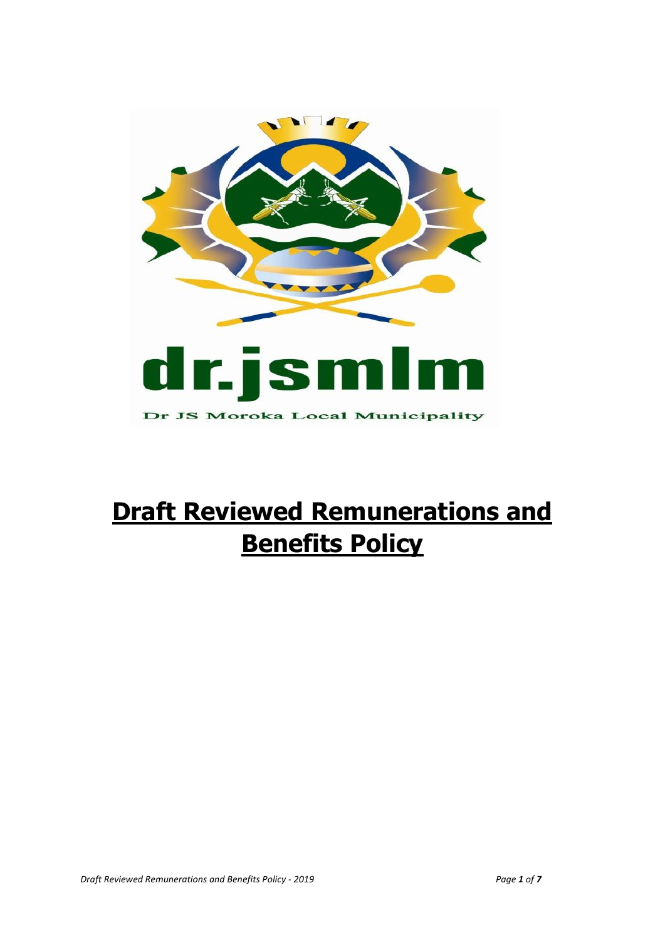

# **Draft Reviewed Remunerations and Benefits Policy**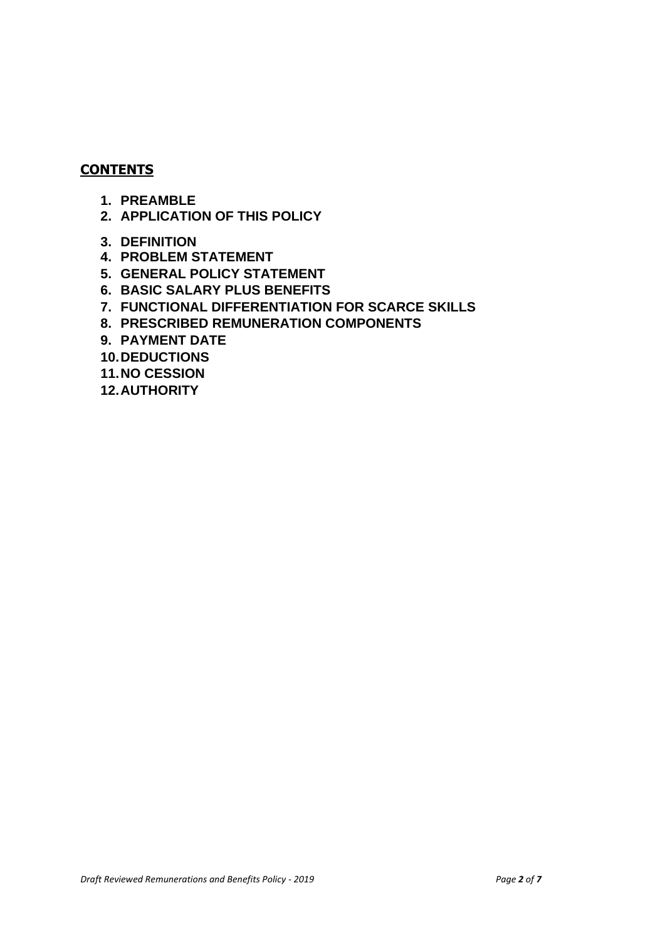#### **CONTENTS**

- **1. PREAMBLE**
- **2. APPLICATION OF THIS POLICY**
- **3. DEFINITION**
- **4. PROBLEM STATEMENT**
- **5. GENERAL POLICY STATEMENT**
- **6. BASIC SALARY PLUS BENEFITS**
- **7. FUNCTIONAL DIFFERENTIATION FOR SCARCE SKILLS**
- **8. PRESCRIBED REMUNERATION COMPONENTS**
- **9. PAYMENT DATE**
- **10.DEDUCTIONS**
- **11.NO CESSION**
- **12.AUTHORITY**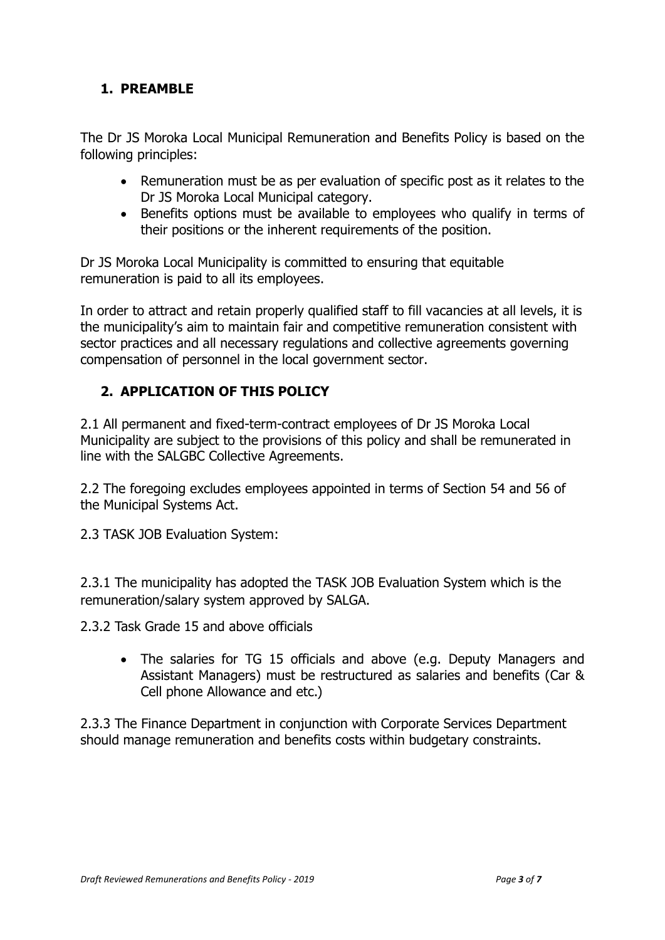# **1. PREAMBLE**

The Dr JS Moroka Local Municipal Remuneration and Benefits Policy is based on the following principles:

- Remuneration must be as per evaluation of specific post as it relates to the Dr JS Moroka Local Municipal category.
- Benefits options must be available to employees who qualify in terms of their positions or the inherent requirements of the position.

Dr JS Moroka Local Municipality is committed to ensuring that equitable remuneration is paid to all its employees.

In order to attract and retain properly qualified staff to fill vacancies at all levels, it is the municipality's aim to maintain fair and competitive remuneration consistent with sector practices and all necessary regulations and collective agreements governing compensation of personnel in the local government sector.

# **2. APPLICATION OF THIS POLICY**

2.1 All permanent and fixed-term-contract employees of Dr JS Moroka Local Municipality are subject to the provisions of this policy and shall be remunerated in line with the SALGBC Collective Agreements.

2.2 The foregoing excludes employees appointed in terms of Section 54 and 56 of the Municipal Systems Act.

2.3 TASK JOB Evaluation System:

2.3.1 The municipality has adopted the TASK JOB Evaluation System which is the remuneration/salary system approved by SALGA.

2.3.2 Task Grade 15 and above officials

• The salaries for TG 15 officials and above (e.g. Deputy Managers and Assistant Managers) must be restructured as salaries and benefits (Car & Cell phone Allowance and etc.)

2.3.3 The Finance Department in conjunction with Corporate Services Department should manage remuneration and benefits costs within budgetary constraints.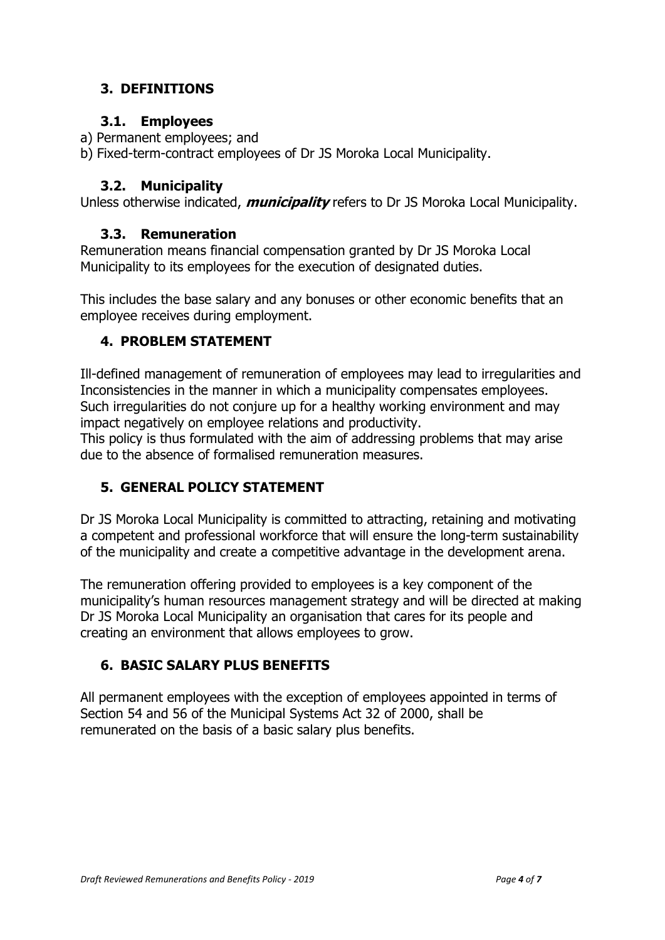# **3. DEFINITIONS**

# **3.1. Employees**

- a) Permanent employees; and
- b) Fixed-term-contract employees of Dr JS Moroka Local Municipality.

# **3.2. Municipality**

Unless otherwise indicated, **municipality** refers to Dr JS Moroka Local Municipality.

## **3.3. Remuneration**

Remuneration means financial compensation granted by Dr JS Moroka Local Municipality to its employees for the execution of designated duties.

This includes the base salary and any bonuses or other economic benefits that an employee receives during employment.

## **4. PROBLEM STATEMENT**

Ill-defined management of remuneration of employees may lead to irregularities and Inconsistencies in the manner in which a municipality compensates employees. Such irregularities do not conjure up for a healthy working environment and may impact negatively on employee relations and productivity.

This policy is thus formulated with the aim of addressing problems that may arise due to the absence of formalised remuneration measures.

# **5. GENERAL POLICY STATEMENT**

Dr JS Moroka Local Municipality is committed to attracting, retaining and motivating a competent and professional workforce that will ensure the long-term sustainability of the municipality and create a competitive advantage in the development arena.

The remuneration offering provided to employees is a key component of the municipality's human resources management strategy and will be directed at making Dr JS Moroka Local Municipality an organisation that cares for its people and creating an environment that allows employees to grow.

# **6. BASIC SALARY PLUS BENEFITS**

All permanent employees with the exception of employees appointed in terms of Section 54 and 56 of the Municipal Systems Act 32 of 2000, shall be remunerated on the basis of a basic salary plus benefits.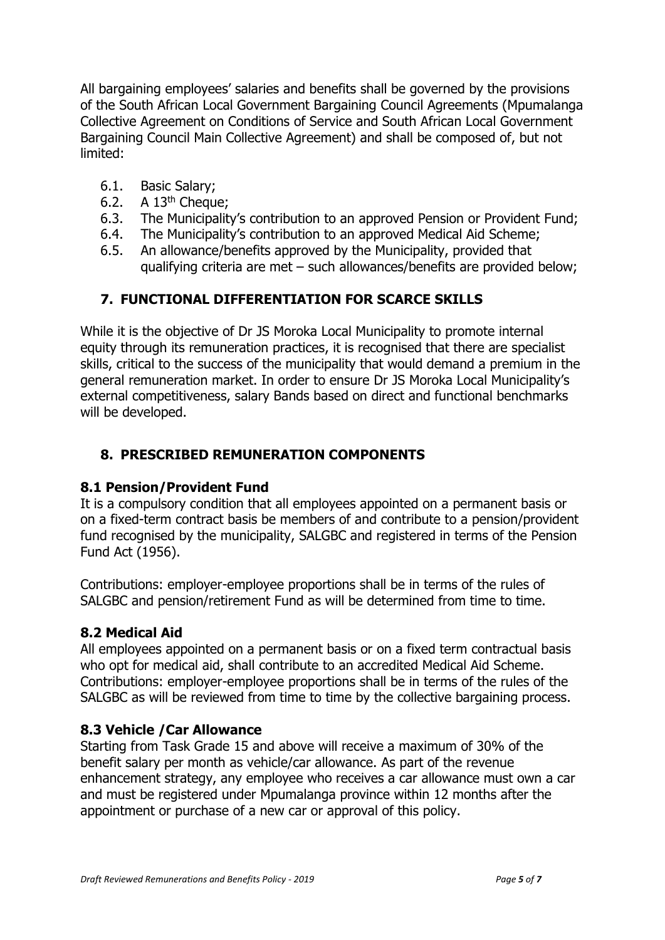All bargaining employees' salaries and benefits shall be governed by the provisions of the South African Local Government Bargaining Council Agreements (Mpumalanga Collective Agreement on Conditions of Service and South African Local Government Bargaining Council Main Collective Agreement) and shall be composed of, but not limited:

- 6.1. Basic Salary;
- 6.2. A  $13<sup>th</sup>$  Cheque:
- 6.3. The Municipality's contribution to an approved Pension or Provident Fund;
- 6.4. The Municipality's contribution to an approved Medical Aid Scheme;
- 6.5. An allowance/benefits approved by the Municipality, provided that qualifying criteria are met – such allowances/benefits are provided below;

## **7. FUNCTIONAL DIFFERENTIATION FOR SCARCE SKILLS**

While it is the objective of Dr JS Moroka Local Municipality to promote internal equity through its remuneration practices, it is recognised that there are specialist skills, critical to the success of the municipality that would demand a premium in the general remuneration market. In order to ensure Dr JS Moroka Local Municipality's external competitiveness, salary Bands based on direct and functional benchmarks will be developed.

## **8. PRESCRIBED REMUNERATION COMPONENTS**

#### **8.1 Pension/Provident Fund**

It is a compulsory condition that all employees appointed on a permanent basis or on a fixed-term contract basis be members of and contribute to a pension/provident fund recognised by the municipality, SALGBC and registered in terms of the Pension Fund Act (1956).

Contributions: employer-employee proportions shall be in terms of the rules of SALGBC and pension/retirement Fund as will be determined from time to time.

#### **8.2 Medical Aid**

All employees appointed on a permanent basis or on a fixed term contractual basis who opt for medical aid, shall contribute to an accredited Medical Aid Scheme. Contributions: employer-employee proportions shall be in terms of the rules of the SALGBC as will be reviewed from time to time by the collective bargaining process.

#### **8.3 Vehicle /Car Allowance**

Starting from Task Grade 15 and above will receive a maximum of 30% of the benefit salary per month as vehicle/car allowance. As part of the revenue enhancement strategy, any employee who receives a car allowance must own a car and must be registered under Mpumalanga province within 12 months after the appointment or purchase of a new car or approval of this policy.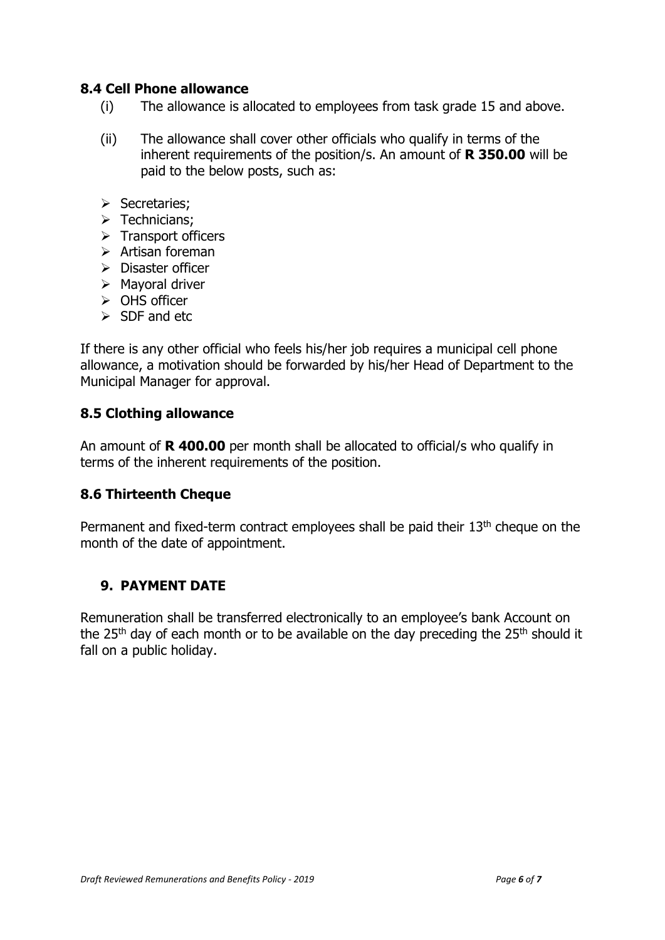## **8.4 Cell Phone allowance**

- (i) The allowance is allocated to employees from task grade 15 and above.
- (ii) The allowance shall cover other officials who qualify in terms of the inherent requirements of the position/s. An amount of **R 350.00** will be paid to the below posts, such as:
- ➢ Secretaries;
- $\triangleright$  Technicians;
- ➢ Transport officers
- ➢ Artisan foreman
- ➢ Disaster officer
- ➢ Mayoral driver
- ➢ OHS officer
- ➢ SDF and etc

If there is any other official who feels his/her job requires a municipal cell phone allowance, a motivation should be forwarded by his/her Head of Department to the Municipal Manager for approval.

#### **8.5 Clothing allowance**

An amount of **R 400.00** per month shall be allocated to official/s who qualify in terms of the inherent requirements of the position.

## **8.6 Thirteenth Cheque**

Permanent and fixed-term contract employees shall be paid their 13<sup>th</sup> cheque on the month of the date of appointment.

## **9. PAYMENT DATE**

Remuneration shall be transferred electronically to an employee's bank Account on the  $25<sup>th</sup>$  day of each month or to be available on the day preceding the  $25<sup>th</sup>$  should it fall on a public holiday.